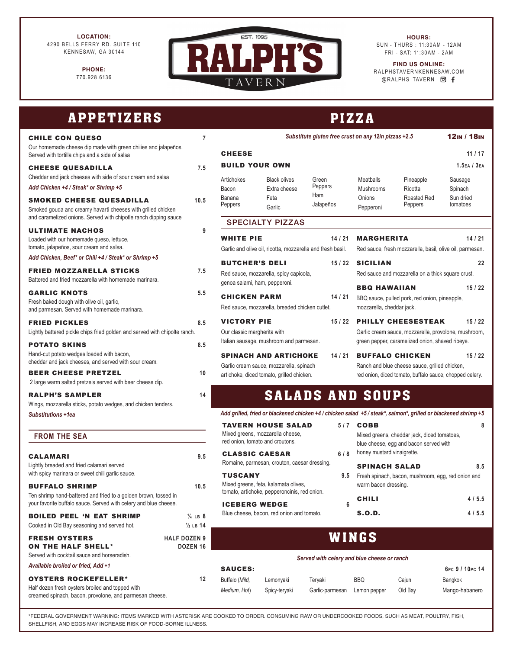**LOCATION:** 4290 BELLS FERRY RD. SUITE 110 KENNESAW, GA 30144

> **PHONE:** 770.928.6136



**HOURS:** SUN - THURS : 11:30AM - 12AM FRI - SAT: 11:30AM - 2AM

**FIND US ONLINE:** RALPHSTAVERNKENNESAW.COM @RALPHS\_TAVERN @ f

| <b>APPETIZERS</b>                                                                                                                                                           | <b>PIZZA</b>                                                                                                                                         |                                                                                                                                                                          |                            |                                                                                                            |                                                                                                                                                                                                |                                         |  |  |
|-----------------------------------------------------------------------------------------------------------------------------------------------------------------------------|------------------------------------------------------------------------------------------------------------------------------------------------------|--------------------------------------------------------------------------------------------------------------------------------------------------------------------------|----------------------------|------------------------------------------------------------------------------------------------------------|------------------------------------------------------------------------------------------------------------------------------------------------------------------------------------------------|-----------------------------------------|--|--|
| $\overline{7}$<br><b>CHILE CON QUESO</b><br>Our homemade cheese dip made with green chilies and jalapeños.                                                                  | Substitute gluten free crust on any 12in pizzas +2.5                                                                                                 |                                                                                                                                                                          |                            |                                                                                                            |                                                                                                                                                                                                | 12IN / 18IN                             |  |  |
| Served with tortilla chips and a side of salsa                                                                                                                              | <b>CHEESE</b>                                                                                                                                        |                                                                                                                                                                          |                            |                                                                                                            |                                                                                                                                                                                                | 11/17                                   |  |  |
| 7.5<br><b>CHEESE QUESADILLA</b><br>Cheddar and jack cheeses with side of sour cream and salsa<br>Add Chicken +4 / Steak* or Shrimp +5                                       | <b>BUILD YOUR OWN</b><br>Artichokes<br>Bacon                                                                                                         | <b>Black olives</b><br>Extra cheese                                                                                                                                      | Green<br>Peppers           | <b>Meatballs</b><br>Mushrooms                                                                              | Pineapple<br>Ricotta                                                                                                                                                                           | $1.5$ EA / $3$ EA<br>Sausage<br>Spinach |  |  |
| <b>SMOKED CHEESE QUESADILLA</b><br>10.5<br>Smoked gouda and creamy havarti cheeses with grilled chicken<br>and caramelized onions. Served with chipotle ranch dipping sauce | Banana<br>Peppers                                                                                                                                    | Feta<br>Garlic                                                                                                                                                           | Ham<br>Jalapeños           | Onions<br>Pepperoni                                                                                        | Roasted Red<br>Peppers                                                                                                                                                                         | Sun dried<br>tomatoes                   |  |  |
| <b>ULTIMATE NACHOS</b><br>9<br>Loaded with our homemade queso, lettuce,<br>tomato, jalapeños, sour cream and salsa.<br>Add Chicken, Beef* or Chili +4 / Steak* or Shrimp +5 | <b>SPECIALTY PIZZAS</b><br><b>WHITE PIE</b><br>14/21<br>Garlic and olive oil, ricotta, mozzarella and fresh basil.<br><b>BUTCHER'S DELI</b><br>15/22 |                                                                                                                                                                          |                            | <b>MARGHERITA</b><br><b>SICILIAN</b>                                                                       | 14/21<br>Red sauce, fresh mozzarella, basil, olive oil, parmesan.<br>22                                                                                                                        |                                         |  |  |
| <b>FRIED MOZZARELLA STICKS</b><br>7.5<br>Battered and fried mozzarella with homemade marinara.                                                                              |                                                                                                                                                      | Red sauce, mozzarella, spicy capicola,<br>genoa salami, ham, pepperoni.                                                                                                  |                            |                                                                                                            | Red sauce and mozzarella on a thick square crust.                                                                                                                                              |                                         |  |  |
| 5.5<br><b>GARLIC KNOTS</b><br>Fresh baked dough with olive oil, garlic,<br>and parmesan. Served with homemade marinara.                                                     | <b>CHICKEN PARM</b>                                                                                                                                  | Red sauce, mozzarella, breaded chicken cutlet.                                                                                                                           | 14/21                      | 15/22<br><b>BBQ HAWAIIAN</b><br>BBQ sauce, pulled pork, red onion, pineapple,<br>mozzarella, cheddar jack. |                                                                                                                                                                                                |                                         |  |  |
| 8.5<br><b>FRIED PICKLES</b><br>Lightly battered pickle chips fried golden and served with chipolte ranch.                                                                   |                                                                                                                                                      | <b>VICTORY PIE</b><br>15/22<br>Our classic margherita with                                                                                                               |                            |                                                                                                            | <b>PHILLY CHEESESTEAK</b><br>15/22<br>Garlic cream sauce, mozzarella, provolone, mushroom,                                                                                                     |                                         |  |  |
| <b>POTATO SKINS</b><br>8.5<br>Hand-cut potato wedges loaded with bacon,<br>cheddar and jack cheeses, and served with sour cream.<br><b>BEER CHEESE PRETZEL</b><br>10        |                                                                                                                                                      | Italian sausage, mushroom and parmesan.<br><b>SPINACH AND ARTICHOKE</b><br>14/21<br>Garlic cream sauce, mozzarella, spinach<br>artichoke, diced tomato, grilled chicken. |                            |                                                                                                            | green pepper, caramelized onion, shaved ribeye.<br><b>BUFFALO CHICKEN</b><br>15/22<br>Ranch and blue cheese sauce, grilled chicken,<br>red onion, diced tomato, buffalo sauce, chopped celery. |                                         |  |  |
| 2 large warm salted pretzels served with beer cheese dip.<br><b>RALPH'S SAMPLER</b><br>14<br>Wings, mozzarella sticks, potato wedges, and chicken tenders.                  |                                                                                                                                                      |                                                                                                                                                                          | <b>SALADS AND SOUPS</b>    |                                                                                                            |                                                                                                                                                                                                |                                         |  |  |
| Substitutions +1ea                                                                                                                                                          | Add grilled, fried or blackened chicken +4 / chicken salad +5 / steak*, salmon*, grilled or blackened shrimp +5<br><b>TAVERN HOUSE SALAD</b>         |                                                                                                                                                                          |                            |                                                                                                            |                                                                                                                                                                                                |                                         |  |  |
| <b>FROM THE SEA</b><br>9.5<br><b>CALAMARI</b>                                                                                                                               | red onion, tomato and croutons.<br><b>CLASSIC CAESAR</b>                                                                                             | Mixed greens, mozzarella cheese,                                                                                                                                         | 5/7<br>6/8                 | <b>COBB</b><br>honey mustard vinaigrette.                                                                  | Mixed greens, cheddar jack, diced tomatoes,<br>blue cheese, egg and bacon served with                                                                                                          | 8                                       |  |  |
| Lightly breaded and fried calamari served<br>with spicy marinara or sweet chili garlic sauce.<br><b>BUFFALO SHRIMP</b><br>10.5                                              | Romaine, parmesan, crouton, caesar dressing.<br><b>TUSCANY</b><br>9.5<br>Mixed greens, feta, kalamata olives,                                        |                                                                                                                                                                          |                            | <b>SPINACH SALAD</b><br>8.5<br>Fresh spinach, bacon, mushroom, egg, red onion and<br>warm bacon dressing.  |                                                                                                                                                                                                |                                         |  |  |
| Ten shrimp hand-battered and fried to a golden brown, tossed in<br>your favorite buffalo sauce. Served with celery and blue cheese.                                         |                                                                                                                                                      | tomato, artichoke, pepperoncinis, red onion.<br><b>ICEBERG WEDGE</b><br>6                                                                                                |                            |                                                                                                            |                                                                                                                                                                                                | 4/5.5                                   |  |  |
| <b>BOILED PEEL 'N EAT SHRIMP</b><br>$\frac{1}{4}$ LB 8<br>Cooked in Old Bay seasoning and served hot.<br>$\frac{1}{2}$ LB 14                                                |                                                                                                                                                      | Blue cheese, bacon, red onion and tomato.                                                                                                                                |                            | <b>S.O.D.</b><br>4/5.5                                                                                     |                                                                                                                                                                                                |                                         |  |  |
| <b>HALF DOZEN 9</b><br><b>FRESH OYSTERS</b><br><b>ON THE HALF SHELL*</b><br>DOZEN <sub>16</sub><br>Served with cocktail sauce and horseradish.                              | WINGS                                                                                                                                                |                                                                                                                                                                          |                            |                                                                                                            |                                                                                                                                                                                                |                                         |  |  |
| Available broiled or fried, Add +1                                                                                                                                          | Served with celery and blue cheese or ranch<br><b>SAUCES:</b>                                                                                        |                                                                                                                                                                          |                            |                                                                                                            |                                                                                                                                                                                                | 6Pc 9 / 10Pc 14                         |  |  |
| <b>OYSTERS ROCKEFELLER*</b><br>12<br>Half dozen fresh oysters broiled and topped with<br>creamed spinach, bacon, provolone, and parmesan cheese.                            | Buffalo (Mild,<br>Medium, Hot)                                                                                                                       | Lemonyaki<br>Spicy-teryaki                                                                                                                                               | Teryaki<br>Garlic-parmesan | <b>BBQ</b><br>Lemon pepper                                                                                 | Cajun<br>Old Bay                                                                                                                                                                               | Bangkok<br>Mango-habanero               |  |  |

\*FEDERAL GOVERNMENT WARNING: ITEMS MARKED WITH ASTERISK ARE COOKED TO ORDER. CONSUMING RAW OR UNDERCOOKED FOODS, SUCH AS MEAT, POULTRY, FISH, SHELLFISH, AND EGGS MAY INCREASE RISK OF FOOD-BORNE ILLNESS.